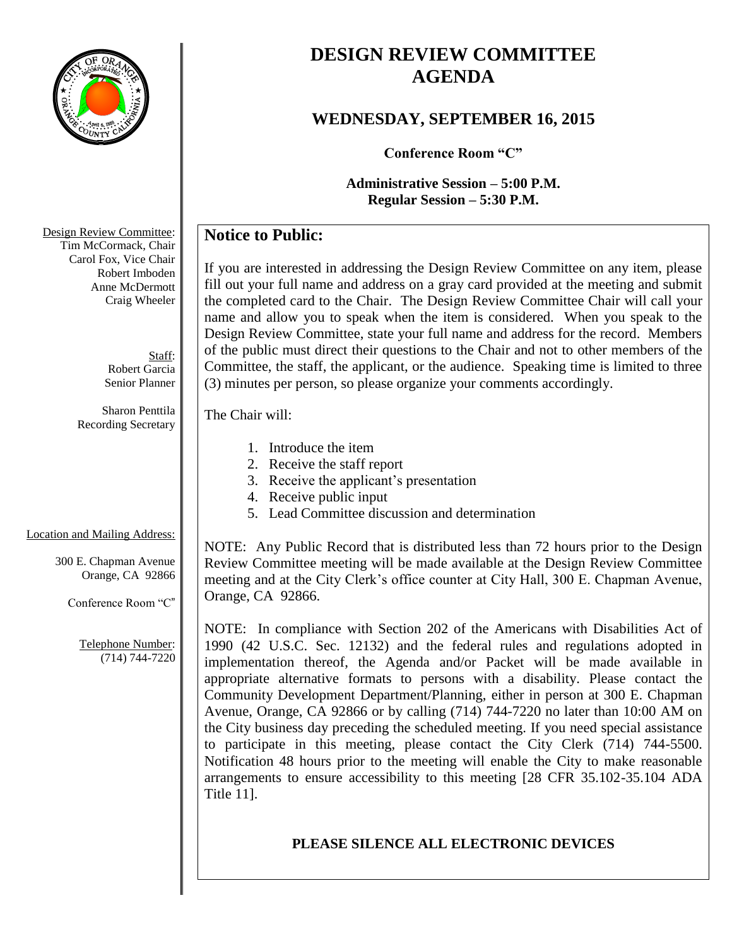

# **DESIGN REVIEW COMMITTEE AGENDA**

### **WEDNESDAY, SEPTEMBER 16, 2015**

**Conference Room "C"**

**Administrative Session – 5:00 P.M. Regular Session – 5:30 P.M.**

## **Notice to Public:**

If you are interested in addressing the Design Review Committee on any item, please fill out your full name and address on a gray card provided at the meeting and submit the completed card to the Chair. The Design Review Committee Chair will call your name and allow you to speak when the item is considered. When you speak to the Design Review Committee, state your full name and address for the record. Members of the public must direct their questions to the Chair and not to other members of the Committee, the staff, the applicant, or the audience. Speaking time is limited to three (3) minutes per person, so please organize your comments accordingly.

#### The Chair will:

- 1. Introduce the item
- 2. Receive the staff report
- 3. Receive the applicant's presentation
- 4. Receive public input
- 5. Lead Committee discussion and determination

### Location and Mailing Address:

300 E. Chapman Avenue Orange, CA 92866

Conference Room "C"

Telephone Number: (714) 744-7220

NOTE: Any Public Record that is distributed less than 72 hours prior to the Design Review Committee meeting will be made available at the Design Review Committee meeting and at the City Clerk's office counter at City Hall, 300 E. Chapman Avenue, Orange, CA 92866.

NOTE: In compliance with Section 202 of the Americans with Disabilities Act of 1990 (42 U.S.C. Sec. 12132) and the federal rules and regulations adopted in implementation thereof, the Agenda and/or Packet will be made available in appropriate alternative formats to persons with a disability. Please contact the Community Development Department/Planning, either in person at 300 E. Chapman Avenue, Orange, CA 92866 or by calling (714) 744-7220 no later than 10:00 AM on the City business day preceding the scheduled meeting. If you need special assistance to participate in this meeting, please contact the City Clerk (714) 744-5500. Notification 48 hours prior to the meeting will enable the City to make reasonable arrangements to ensure accessibility to this meeting [28 CFR 35.102-35.104 ADA Title 11].

### **PLEASE SILENCE ALL ELECTRONIC DEVICES**

Design Review Committee: Tim McCormack, Chair Carol Fox, Vice Chair Robert Imboden Anne McDermott Craig Wheeler

> Staff: Robert Garcia Senior Planner

Sharon Penttila Recording Secretary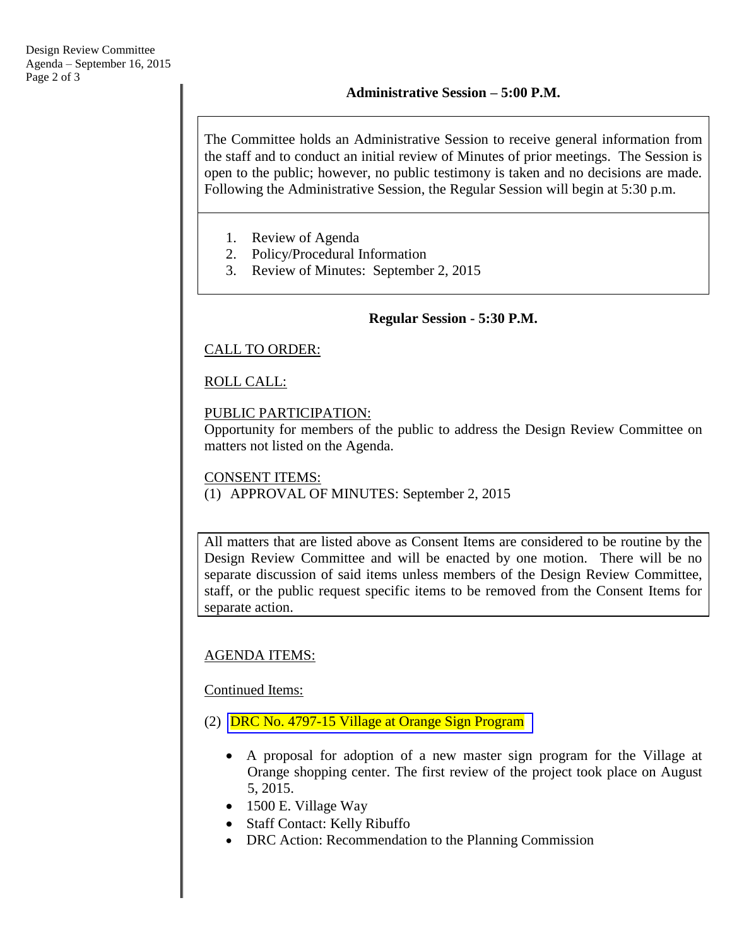The Committee holds an Administrative Session to receive general information from the staff and to conduct an initial review of Minutes of prior meetings. The Session is open to the public; however, no public testimony is taken and no decisions are made. Following the Administrative Session, the Regular Session will begin at 5:30 p.m.

- 1. Review of Agenda
- 2. Policy/Procedural Information
- 3. Review of Minutes: September 2, 2015

#### **Regular Session - 5:30 P.M.**

#### CALL TO ORDER:

### ROLL CALL:

#### PUBLIC PARTICIPATION:

Opportunity for members of the public to address the Design Review Committee on matters not listed on the Agenda.

#### CONSENT ITEMS: (1) APPROVAL OF MINUTES: September 2, 2015

All matters that are listed above as Consent Items are considered to be routine by the Design Review Committee and will be enacted by one motion. There will be no separate discussion of said items unless members of the Design Review Committee, staff, or the public request specific items to be removed from the Consent Items for separate action.

#### AGENDA ITEMS:

Continued Items:

- (2) [DRC No. 4797-15 Village at](http://www.cityoforange.org/civicax/filebank/blobdload.aspx?BlobID=16569) Orange Sign Program
	- A proposal for adoption of a new master sign program for the Village at Orange shopping center. The first review of the project took place on August 5, 2015.
	- 1500 E. Village Way
	- Staff Contact: Kelly Ribuffo
	- DRC Action: Recommendation to the Planning Commission